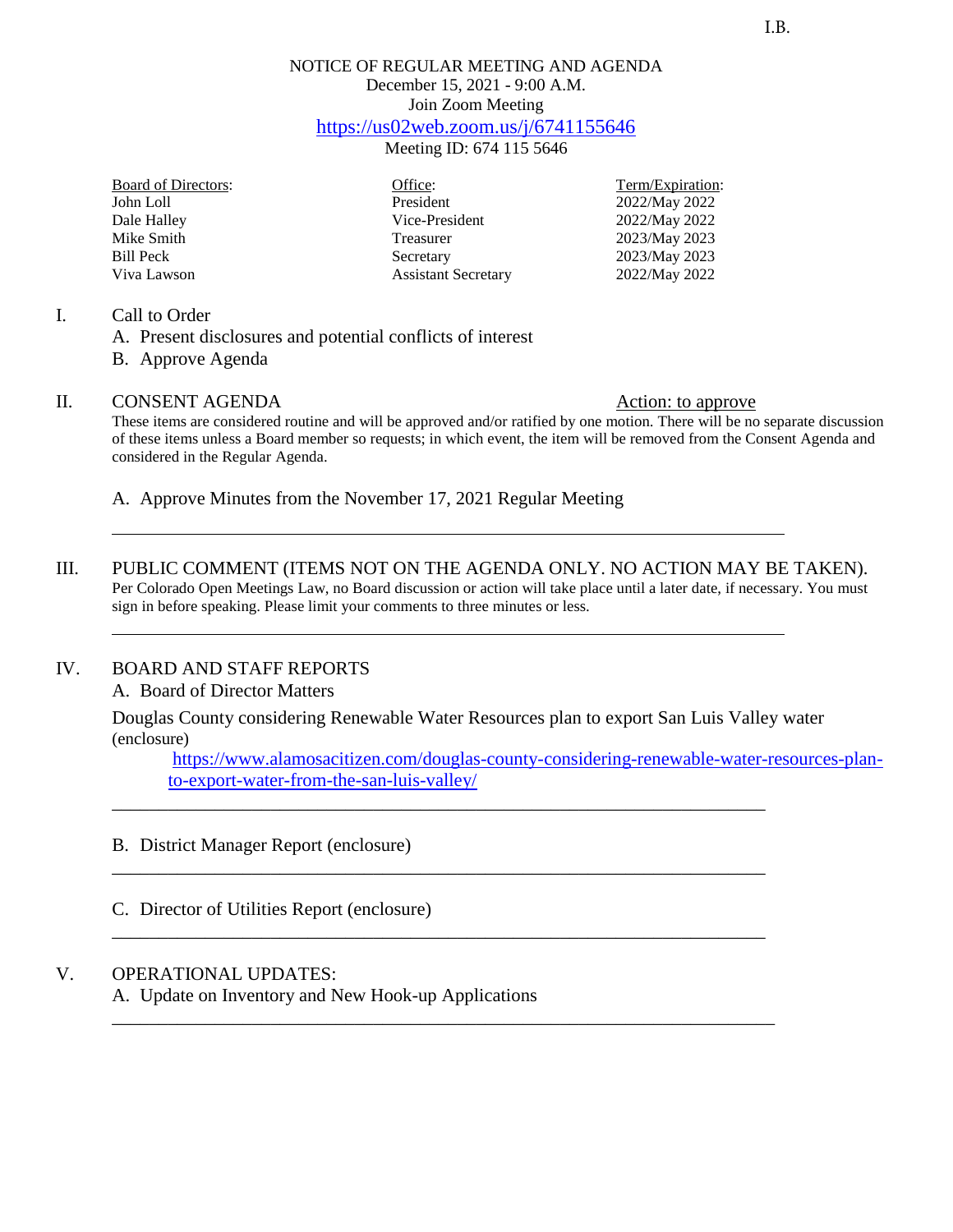# NOTICE OF REGULAR MEETING AND AGENDA December 15, 2021 - 9:00 A.M. Join Zoom Meeting <https://us02web.zoom.us/j/6741155646>

Meeting ID: 674 115 5646

| Board of Directors: |
|---------------------|
| John Loll           |
| Dale Halley         |
| Mike Smith          |
| <b>Bill Peck</b>    |
| Viva Lawson         |

President 2022/May 2022 Vice-President 2022/May 2022 Treasurer 2023/May 2023 Secretary 2023/May 2023<br>Assistant Secretary 2022/May 2022 Assistant Secretary

Office: Term/Expiration:

#### I. Call to Order

- A. Present disclosures and potential conflicts of interest
- B. Approve Agenda

### II. CONSENT AGENDA Action: to approve

These items are considered routine and will be approved and/or ratified by one motion. There will be no separate discussion of these items unless a Board member so requests; in which event, the item will be removed from the Consent Agenda and considered in the Regular Agenda.

A. Approve Minutes from the November 17, 2021 Regular Meeting

III. PUBLIC COMMENT (ITEMS NOT ON THE AGENDA ONLY. NO ACTION MAY BE TAKEN). Per Colorado Open Meetings Law, no Board discussion or action will take place until a later date, if necessary. You must sign in before speaking. Please limit your comments to three minutes or less.

### IV. BOARD AND STAFF REPORTS

#### A. Board of Director Matters

Douglas County considering Renewable Water Resources plan to export San Luis Valley water (enclosure)

\_\_\_\_\_\_\_\_\_\_\_\_\_\_\_\_\_\_\_\_\_\_\_\_\_\_\_\_\_\_\_\_\_\_\_\_\_\_\_\_\_\_\_\_\_\_\_\_\_\_\_\_\_\_\_\_\_\_\_\_\_\_\_\_\_\_\_\_\_\_

\_\_\_\_\_\_\_\_\_\_\_\_\_\_\_\_\_\_\_\_\_\_\_\_\_\_\_\_\_\_\_\_\_\_\_\_\_\_\_\_\_\_\_\_\_\_\_\_\_\_\_\_\_\_\_\_\_\_\_\_\_\_\_\_\_\_\_\_\_\_

\_\_\_\_\_\_\_\_\_\_\_\_\_\_\_\_\_\_\_\_\_\_\_\_\_\_\_\_\_\_\_\_\_\_\_\_\_\_\_\_\_\_\_\_\_\_\_\_\_\_\_\_\_\_\_\_\_\_\_\_\_\_\_\_\_\_\_\_\_\_

\_\_\_\_\_\_\_\_\_\_\_\_\_\_\_\_\_\_\_\_\_\_\_\_\_\_\_\_\_\_\_\_\_\_\_\_\_\_\_\_\_\_\_\_\_\_\_\_\_\_\_\_\_\_\_\_\_\_\_\_\_\_\_\_\_\_\_\_\_\_\_

[https://www.alamosacitizen.com/douglas-county-considering-renewable-water-resources-plan](https://www.alamosacitizen.com/douglas-county-considering-renewable-water-resources-plan-to-export-water-from-the-san-luis-valley/)[to-export-water-from-the-san-luis-valley/](https://www.alamosacitizen.com/douglas-county-considering-renewable-water-resources-plan-to-export-water-from-the-san-luis-valley/)

- B. District Manager Report (enclosure)
- C. Director of Utilities Report (enclosure)

### V. OPERATIONAL UPDATES:

A. Update on Inventory and New Hook-up Applications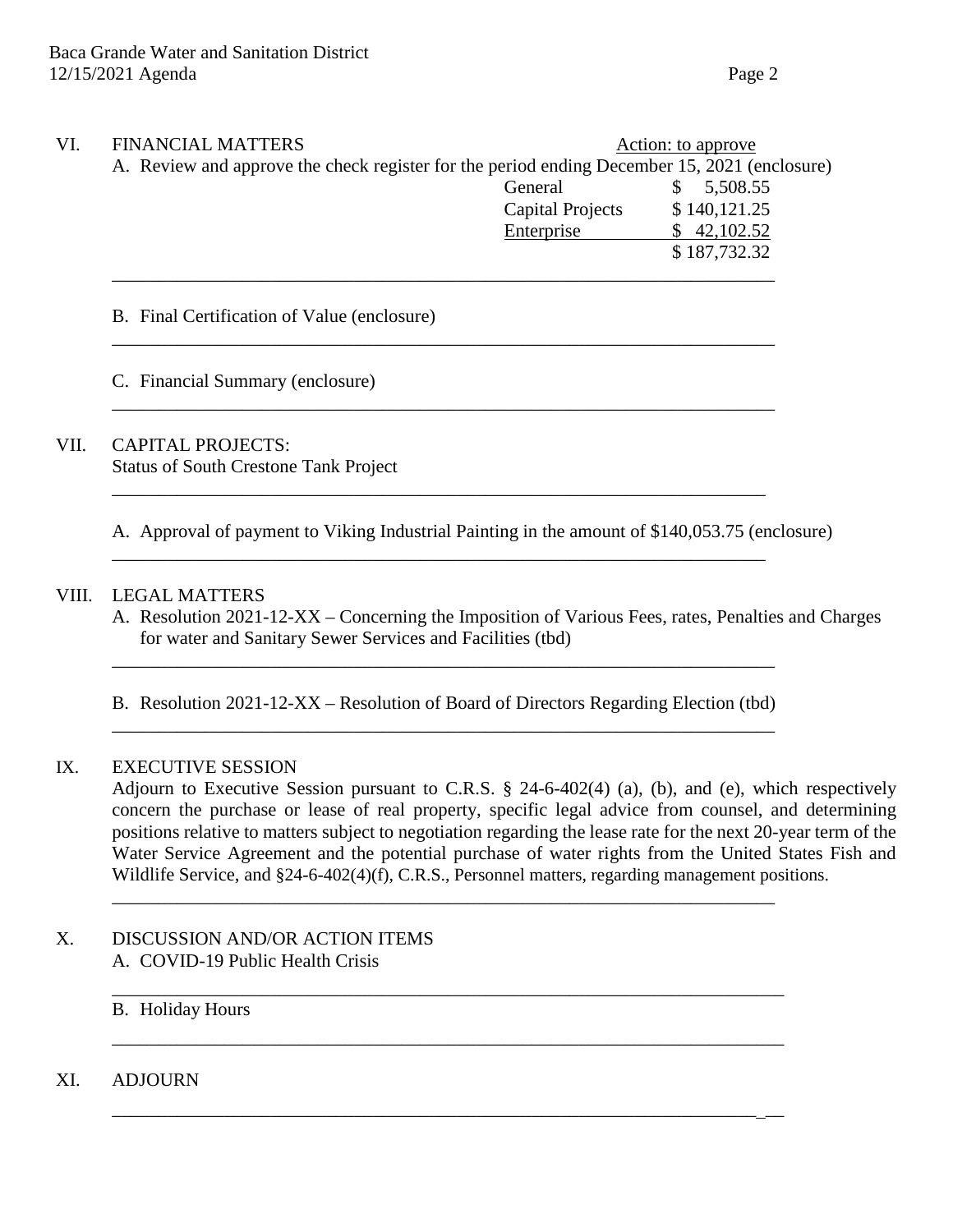| VI. | <b>FINANCIAL MATTERS</b><br>A. Review and approve the check register for the period ending December 15, 2021 (enclosure) |                  | Action: to approve |  |
|-----|--------------------------------------------------------------------------------------------------------------------------|------------------|--------------------|--|
|     |                                                                                                                          | General          | 5,508.55           |  |
|     |                                                                                                                          | Capital Projects | \$140,121.25       |  |
|     |                                                                                                                          | Enterprise       | \$42,102.52        |  |
|     |                                                                                                                          |                  | \$187,732.32       |  |
|     |                                                                                                                          |                  |                    |  |

\_\_\_\_\_\_\_\_\_\_\_\_\_\_\_\_\_\_\_\_\_\_\_\_\_\_\_\_\_\_\_\_\_\_\_\_\_\_\_\_\_\_\_\_\_\_\_\_\_\_\_\_\_\_\_\_\_\_\_\_\_\_\_\_\_\_\_\_\_\_\_

\_\_\_\_\_\_\_\_\_\_\_\_\_\_\_\_\_\_\_\_\_\_\_\_\_\_\_\_\_\_\_\_\_\_\_\_\_\_\_\_\_\_\_\_\_\_\_\_\_\_\_\_\_\_\_\_\_\_\_\_\_\_\_\_\_\_\_\_\_\_\_

\_\_\_\_\_\_\_\_\_\_\_\_\_\_\_\_\_\_\_\_\_\_\_\_\_\_\_\_\_\_\_\_\_\_\_\_\_\_\_\_\_\_\_\_\_\_\_\_\_\_\_\_\_\_\_\_\_\_\_\_\_\_\_\_\_\_\_\_\_\_

\_\_\_\_\_\_\_\_\_\_\_\_\_\_\_\_\_\_\_\_\_\_\_\_\_\_\_\_\_\_\_\_\_\_\_\_\_\_\_\_\_\_\_\_\_\_\_\_\_\_\_\_\_\_\_\_\_\_\_\_\_\_\_\_\_\_\_\_\_\_

### B. Final Certification of Value (enclosure)

C. Financial Summary (enclosure)

## VII. CAPITAL PROJECTS: Status of South Crestone Tank Project

A. Approval of payment to Viking Industrial Painting in the amount of \$140,053.75 (enclosure)

## VIII. LEGAL MATTERS

A. Resolution 2021-12-XX – Concerning the Imposition of Various Fees, rates, Penalties and Charges for water and Sanitary Sewer Services and Facilities (tbd)

B. Resolution 2021-12-XX – Resolution of Board of Directors Regarding Election (tbd) \_\_\_\_\_\_\_\_\_\_\_\_\_\_\_\_\_\_\_\_\_\_\_\_\_\_\_\_\_\_\_\_\_\_\_\_\_\_\_\_\_\_\_\_\_\_\_\_\_\_\_\_\_\_\_\_\_\_\_\_\_\_\_\_\_\_\_\_\_\_\_

\_\_\_\_\_\_\_\_\_\_\_\_\_\_\_\_\_\_\_\_\_\_\_\_\_\_\_\_\_\_\_\_\_\_\_\_\_\_\_\_\_\_\_\_\_\_\_\_\_\_\_\_\_\_\_\_\_\_\_\_\_\_\_\_\_\_\_\_\_\_\_

\_\_\_\_\_\_\_\_\_\_\_\_\_\_\_\_\_\_\_\_\_\_\_\_\_\_\_\_\_\_\_\_\_\_\_\_\_\_\_\_\_\_\_\_\_\_\_\_\_\_\_\_\_\_\_\_\_\_\_\_\_\_\_\_\_\_\_\_\_\_\_\_

\_\_\_\_\_\_\_\_\_\_\_\_\_\_\_\_\_\_\_\_\_\_\_\_\_\_\_\_\_\_\_\_\_\_\_\_\_\_\_\_\_\_\_\_\_\_\_\_\_\_\_\_\_\_\_\_\_\_\_\_\_\_\_\_\_\_\_\_\_\_\_\_

\_\_\_\_\_\_\_\_\_\_\_\_\_\_\_\_\_\_\_\_\_\_\_\_\_\_\_\_\_\_\_\_\_\_\_\_\_\_\_\_\_\_\_\_\_\_\_\_\_\_\_\_\_\_\_\_\_\_\_\_\_\_\_\_\_\_\_\_\_\_\_\_

\_\_\_\_\_\_\_\_\_\_\_\_\_\_\_\_\_\_\_\_\_\_\_\_\_\_\_\_\_\_\_\_\_\_\_\_\_\_\_\_\_\_\_\_\_\_\_\_\_\_\_\_\_\_\_\_\_\_\_\_\_\_\_\_\_\_\_\_\_\_\_

### IX. EXECUTIVE SESSION

Adjourn to Executive Session pursuant to C.R.S. § 24-6-402(4) (a), (b), and (e), which respectively concern the purchase or lease of real property, specific legal advice from counsel, and determining positions relative to matters subject to negotiation regarding the lease rate for the next 20-year term of the Water Service Agreement and the potential purchase of water rights from the United States Fish and Wildlife Service, and §24-6-402(4)(f), C.R.S., Personnel matters, regarding management positions.

- X. DISCUSSION AND/OR ACTION ITEMS A. COVID-19 Public Health Crisis
	- B. Holiday Hours
- XI. ADJOURN